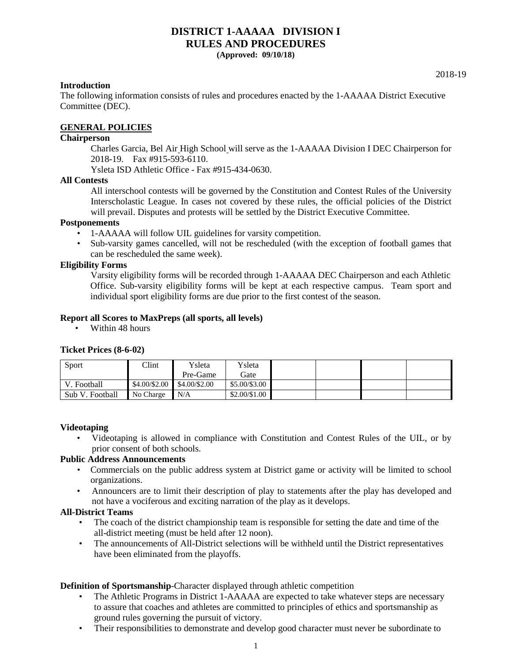# **DISTRICT 1-AAAAA DIVISION I RULES AND PROCEDURES**

**(Approved: 09/10/18)** 

#### **Introduction**

The following information consists of rules and procedures enacted by the 1-AAAAA District Executive Committee (DEC).

# **GENERAL POLICIES**

# **Chairperson**

Charles Garcia, Bel Air High School will serve as the 1-AAAAA Division I DEC Chairperson for 2018-19. Fax #915-593-6110.

Ysleta ISD Athletic Office - Fax #915-434-0630.

#### **All Contests**

All interschool contests will be governed by the Constitution and Contest Rules of the University Interscholastic League. In cases not covered by these rules, the official policies of the District will prevail. Disputes and protests will be settled by the District Executive Committee.

#### **Postponements**

- 1-AAAAA will follow UIL guidelines for varsity competition.
- Sub-varsity games cancelled, will not be rescheduled (with the exception of football games that can be rescheduled the same week).

#### **Eligibility Forms**

Varsity eligibility forms will be recorded through 1-AAAAA DEC Chairperson and each Athletic Office. Sub-varsity eligibility forms will be kept at each respective campus. Team sport and individual sport eligibility forms are due prior to the first contest of the season.

#### **Report all Scores to MaxPreps (all sports, all levels)**

• Within 48 hours

#### **Ticket Prices (8-6-02)**

| Sport           | $C$ lint                          | Ysleta   | Vsleta              |  |  |
|-----------------|-----------------------------------|----------|---------------------|--|--|
|                 |                                   | Pre-Game | Gate                |  |  |
| V. Football     | $$4.00 \times 2.00$ \$4.00/\$2.00 |          | \$5.00/\$3.00       |  |  |
| Sub V. Football | No Charge                         | N/A      | $$2.00 \times 1.00$ |  |  |

# **Videotaping**

• Videotaping is allowed in compliance with Constitution and Contest Rules of the UIL, or by prior consent of both schools.

#### **Public Address Announcements**

- Commercials on the public address system at District game or activity will be limited to school organizations.
- Announcers are to limit their description of play to statements after the play has developed and not have a vociferous and exciting narration of the play as it develops.

#### **All-District Teams**

- The coach of the district championship team is responsible for setting the date and time of the all-district meeting (must be held after 12 noon).
- The announcements of All-District selections will be withheld until the District representatives have been eliminated from the playoffs.

# **Definition of Sportsmanship**-Character displayed through athletic competition

- The Athletic Programs in District 1-AAAAA are expected to take whatever steps are necessary to assure that coaches and athletes are committed to principles of ethics and sportsmanship as ground rules governing the pursuit of victory.
- Their responsibilities to demonstrate and develop good character must never be subordinate to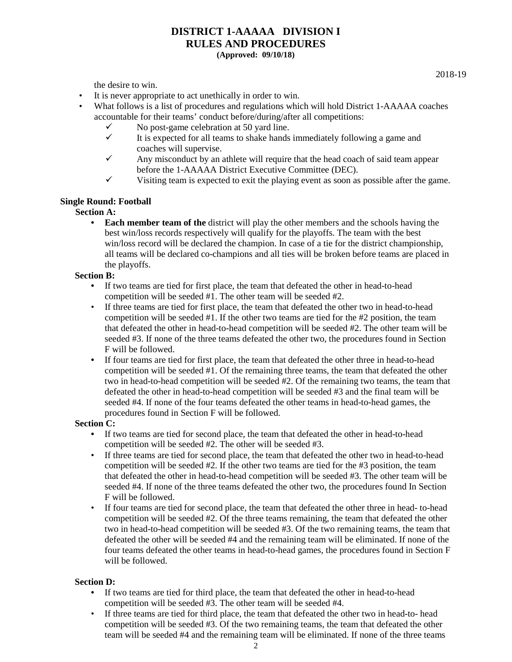2018-19

the desire to win.

- It is never appropriate to act unethically in order to win.
- What follows is a list of procedures and regulations which will hold District 1-AAAAA coaches accountable for their teams' conduct before/during/after all competitions:
	- $\checkmark$  No post-game celebration at 50 yard line.<br> $\checkmark$  It is expected for all teams to shake hands
	- It is expected for all teams to shake hands immediately following a game and coaches will supervise.
	- $\checkmark$  Any misconduct by an athlete will require that the head coach of said team appear before the 1-AAAAA District Executive Committee (DEC).
	- $\checkmark$  Visiting team is expected to exit the playing event as soon as possible after the game.

# **Single Round: Football**

**Section A:** 

• **Each member team of the** district will play the other members and the schools having the best win/loss records respectively will qualify for the playoffs. The team with the best win/loss record will be declared the champion. In case of a tie for the district championship, all teams will be declared co-champions and all ties will be broken before teams are placed in the playoffs.

# **Section B:**

- **•** If two teams are tied for first place, the team that defeated the other in head-to-head competition will be seeded #1. The other team will be seeded #2.
- If three teams are tied for first place, the team that defeated the other two in head-to-head competition will be seeded #1. If the other two teams are tied for the #2 position, the team that defeated the other in head-to-head competition will be seeded #2. The other team will be seeded #3. If none of the three teams defeated the other two, the procedures found in Section F will be followed.
- If four teams are tied for first place, the team that defeated the other three in head-to-head competition will be seeded #1. Of the remaining three teams, the team that defeated the other two in head-to-head competition will be seeded #2. Of the remaining two teams, the team that defeated the other in head-to-head competition will be seeded #3 and the final team will be seeded #4. If none of the four teams defeated the other teams in head-to-head games, the procedures found in Section F will be followed.

# **Section C:**

- If two teams are tied for second place, the team that defeated the other in head-to-head competition will be seeded #2. The other will be seeded #3.
- If three teams are tied for second place, the team that defeated the other two in head-to-head competition will be seeded  $#2$ . If the other two teams are tied for the  $#3$  position, the team that defeated the other in head-to-head competition will be seeded #3. The other team will be seeded #4. If none of the three teams defeated the other two, the procedures found In Section F will be followed.
- If four teams are tied for second place, the team that defeated the other three in head- to-head competition will be seeded #2. Of the three teams remaining, the team that defeated the other two in head-to-head competition will be seeded #3. Of the two remaining teams, the team that defeated the other will be seeded #4 and the remaining team will be eliminated. If none of the four teams defeated the other teams in head-to-head games, the procedures found in Section F will be followed.

# **Section D:**

- **•** If two teams are tied for third place, the team that defeated the other in head-to-head competition will be seeded #3. The other team will be seeded #4.
- If three teams are tied for third place, the team that defeated the other two in head-to- head competition will be seeded #3. Of the two remaining teams, the team that defeated the other team will be seeded #4 and the remaining team will be eliminated. If none of the three teams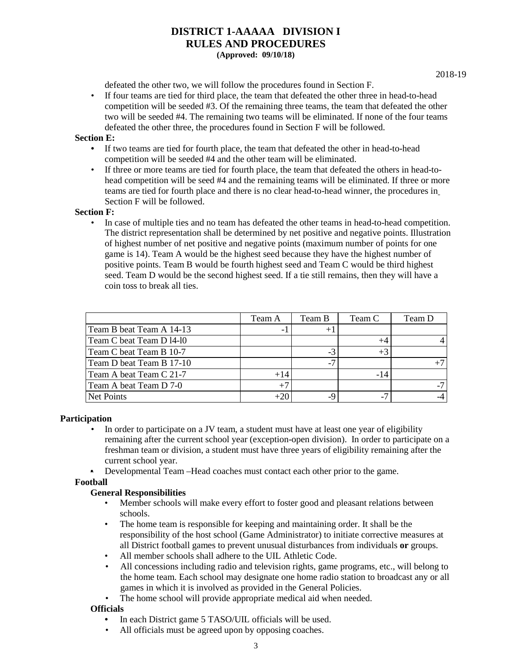defeated the other two, we will follow the procedures found in Section F.

• If four teams are tied for third place, the team that defeated the other three in head-to-head competition will be seeded #3. Of the remaining three teams, the team that defeated the other two will be seeded #4. The remaining two teams will be eliminated. If none of the four teams defeated the other three, the procedures found in Section F will be followed.

# **Section E:**

- If two teams are tied for fourth place, the team that defeated the other in head-to-head competition will be seeded #4 and the other team will be eliminated.
- If three or more teams are tied for fourth place, the team that defeated the others in head-tohead competition will be seed #4 and the remaining teams will be eliminated. If three or more teams are tied for fourth place and there is no clear head-to-head winner, the procedures in Section F will be followed.

# **Section F:**

• In case of multiple ties and no team has defeated the other teams in head-to-head competition. The district representation shall be determined by net positive and negative points. Illustration of highest number of net positive and negative points (maximum number of points for one game is 14). Team A would be the highest seed because they have the highest number of positive points. Team B would be fourth highest seed and Team C would be third highest seed. Team D would be the second highest seed. If a tie still remains, then they will have a coin toss to break all ties.

|                          | Team A | Team B         | Team C | Team D |
|--------------------------|--------|----------------|--------|--------|
| Team B beat Team A 14-13 |        | $+$ .          |        |        |
| Team C beat Team D 14-10 |        |                |        |        |
| Team C beat Team B 10-7  |        | $-3$           | $+3$   |        |
| Team D beat Team B 17-10 |        | $\overline{a}$ |        |        |
| Team A beat Team C 21-7  | $+14$  |                | -14    |        |
| Team A beat Team D 7-0   | $+7$   |                |        |        |
| Net Points               | $+20$  |                | $-7$   |        |

# **Participation**

- In order to participate on a JV team, a student must have at least one year of eligibility remaining after the current school year (exception-open division). In order to participate on a freshman team or division, a student must have three years of eligibility remaining after the current school year.
- Developmental Team –Head coaches must contact each other prior to the game.

# **Football**

# **General Responsibilities**

- Member schools will make every effort to foster good and pleasant relations between schools.
- The home team is responsible for keeping and maintaining order. It shall be the responsibility of the host school (Game Administrator) to initiate corrective measures at all District football games to prevent unusual disturbances from individuals **or** groups.
- All member schools shall adhere to the UIL Athletic Code.
- All concessions including radio and television rights, game programs, etc., will belong to the home team. Each school may designate one home radio station to broadcast any or all games in which it is involved as provided in the General Policies.
- The home school will provide appropriate medical aid when needed.

# **Officials**

- In each District game 5 TASO/UIL officials will be used.
- All officials must be agreed upon by opposing coaches.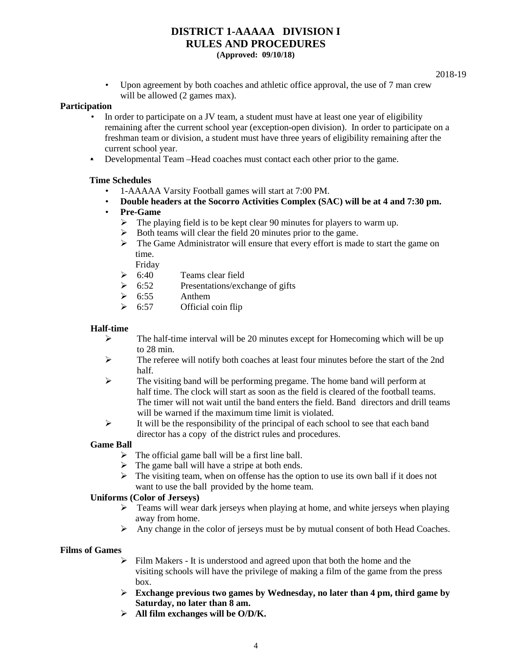2018-19

• Upon agreement by both coaches and athletic office approval, the use of 7 man crew will be allowed (2 games max).

#### **Participation**

- In order to participate on a JV team, a student must have at least one year of eligibility remaining after the current school year (exception-open division). In order to participate on a freshman team or division, a student must have three years of eligibility remaining after the current school year.
- Developmental Team –Head coaches must contact each other prior to the game.

# **Time Schedules**

- 1-AAAAA Varsity Football games will start at 7:00 PM.
- **Double headers at the Socorro Activities Complex (SAC) will be at 4 and 7:30 pm.**
- **Pre-Game**
	- $\triangleright$  The playing field is to be kept clear 90 minutes for players to warm up.
	- Both teams will clear the field 20 minutes prior to the game.
	- $\triangleright$  The Game Administrator will ensure that every effort is made to start the game on time.

Friday

- $\geqslant$  6:40 Teams clear field
- $\geq 6:52$  Presentations/exchange of gifts
- $\geqslant$  6:55 Anthem
- $\geqslant$  6:57 Official coin flip

# **Half-time**

- $\triangleright$  The half-time interval will be 20 minutes except for Homecoming which will be up to 28 min.
- $\triangleright$  The referee will notify both coaches at least four minutes before the start of the 2nd half.
- $\triangleright$  The visiting band will be performing pregame. The home band will perform at half time. The clock will start as soon as the field is cleared of the football teams. The timer will not wait until the band enters the field. Band directors and drill teams will be warned if the maximum time limit is violated.
- $\triangleright$  It will be the responsibility of the principal of each school to see that each band director has a copy of the district rules and procedures.

# **Game Ball**

- $\triangleright$  The official game ball will be a first line ball.
- $\triangleright$  The game ball will have a stripe at both ends.
- $\triangleright$  The visiting team, when on offense has the option to use its own ball if it does not want to use the ball provided by the home team.

# **Uniforms (Color of Jerseys)**

- $\triangleright$  Teams will wear dark jerseys when playing at home, and white jerseys when playing away from home.
- Any change in the color of jerseys must be by mutual consent of both Head Coaches.

# **Films of Games**

- $\triangleright$  Film Makers It is understood and agreed upon that both the home and the visiting schools will have the privilege of making a film of the game from the press box.
- **Exchange previous two games by Wednesday, no later than 4 pm, third game by Saturday, no later than 8 am.**
- **All film exchanges will be O/D/K.**